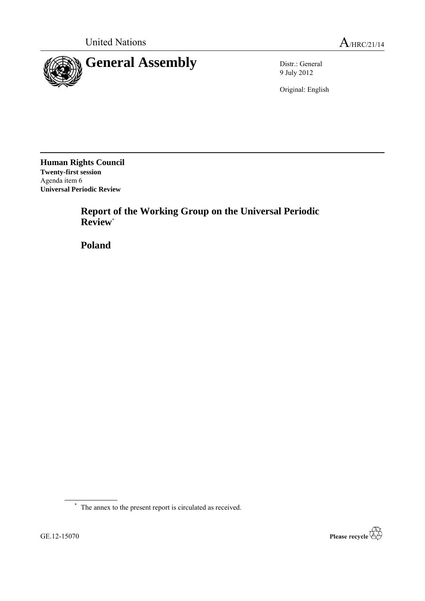

9 July 2012

Original: English

**Human Rights Council Twenty-first session** Agenda item 6 **Universal Periodic Review**

> **Report of the Working Group on the Universal Periodic Review**\*

**Poland**



<sup>\*</sup> The annex to the present report is circulated as received.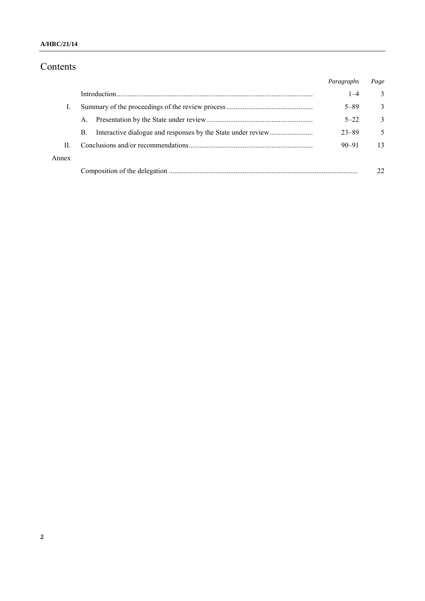### **A/HRC/21/14**

# Contents

|       |    | Paragraphs | Page         |
|-------|----|------------|--------------|
|       |    | $1 - 4$    | 3            |
|       |    | $5 - 89$   | 3            |
|       | A. | $5 - 22$   | $\mathbf{3}$ |
|       | B. | $23 - 89$  | 5            |
| П     |    | $90 - 91$  | 13           |
| Annex |    |            |              |
|       |    |            | 22           |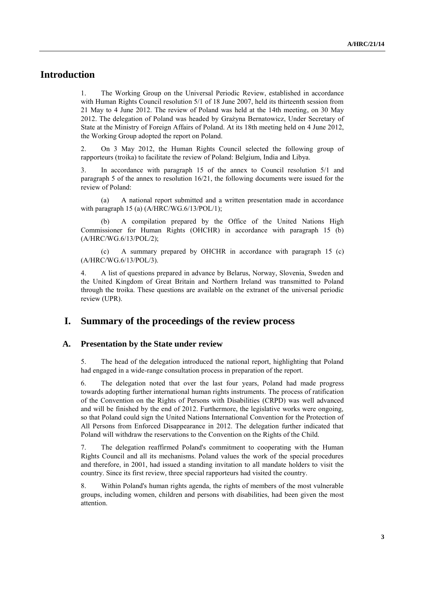# **Introduction**

1. The Working Group on the Universal Periodic Review, established in accordance with Human Rights Council resolution 5/1 of 18 June 2007, held its thirteenth session from 21 May to 4 June 2012. The review of Poland was held at the 14th meeting, on 30 May 2012. The delegation of Poland was headed by Grażyna Bernatowicz, Under Secretary of State at the Ministry of Foreign Affairs of Poland. At its 18th meeting held on 4 June 2012, the Working Group adopted the report on Poland.

2. On 3 May 2012, the Human Rights Council selected the following group of rapporteurs (troika) to facilitate the review of Poland: Belgium, India and Libya.

3. In accordance with paragraph 15 of the annex to Council resolution 5/1 and paragraph 5 of the annex to resolution  $16/21$ , the following documents were issued for the review of Poland:

(a) A national report submitted and a written presentation made in accordance with paragraph 15 (a) (A/HRC/WG.6/13/POL/1);

A compilation prepared by the Office of the United Nations High Commissioner for Human Rights (OHCHR) in accordance with paragraph 15 (b) (A/HRC/WG.6/13/POL/2);

(c) A summary prepared by OHCHR in accordance with paragraph 15 (c) (A/HRC/WG.6/13/POL/3).

4. A list of questions prepared in advance by Belarus, Norway, Slovenia, Sweden and the United Kingdom of Great Britain and Northern Ireland was transmitted to Poland through the troika. These questions are available on the extranet of the universal periodic review (UPR).

## **I. Summary of the proceedings of the review process**

#### **A. Presentation by the State under review**

5. The head of the delegation introduced the national report, highlighting that Poland had engaged in a wide-range consultation process in preparation of the report.

6. The delegation noted that over the last four years, Poland had made progress towards adopting further international human rights instruments. The process of ratification of the Convention on the Rights of Persons with Disabilities (CRPD) was well advanced and will be finished by the end of 2012. Furthermore, the legislative works were ongoing, so that Poland could sign the United Nations International Convention for the Protection of All Persons from Enforced Disappearance in 2012. The delegation further indicated that Poland will withdraw the reservations to the Convention on the Rights of the Child.

7. The delegation reaffirmed Poland's commitment to cooperating with the Human Rights Council and all its mechanisms. Poland values the work of the special procedures and therefore, in 2001, had issued a standing invitation to all mandate holders to visit the country. Since its first review, three special rapporteurs had visited the country.

8. Within Poland's human rights agenda, the rights of members of the most vulnerable groups, including women, children and persons with disabilities, had been given the most attention.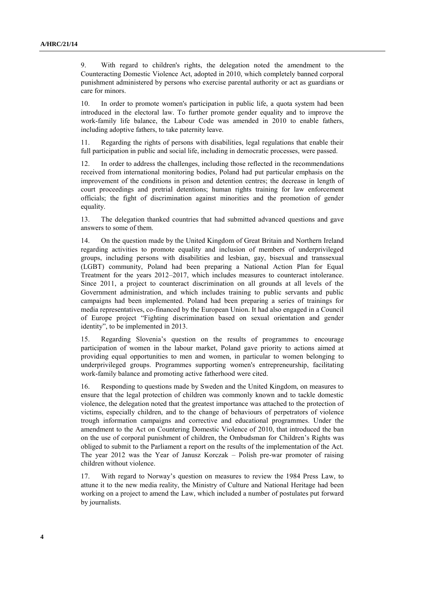9. With regard to children's rights, the delegation noted the amendment to the Counteracting Domestic Violence Act, adopted in 2010, which completely banned corporal punishment administered by persons who exercise parental authority or act as guardians or care for minors.

10. In order to promote women's participation in public life, a quota system had been introduced in the electoral law. To further promote gender equality and to improve the work-family life balance, the Labour Code was amended in 2010 to enable fathers, including adoptive fathers, to take paternity leave.

Regarding the rights of persons with disabilities, legal regulations that enable their full participation in public and social life, including in democratic processes, were passed.

12. In order to address the challenges, including those reflected in the recommendations received from international monitoring bodies, Poland had put particular emphasis on the improvement of the conditions in prison and detention centres; the decrease in length of court proceedings and pretrial detentions; human rights training for law enforcement officials; the fight of discrimination against minorities and the promotion of gender equality.

13. The delegation thanked countries that had submitted advanced questions and gave answers to some of them.

14. On the question made by the United Kingdom of Great Britain and Northern Ireland regarding activities to promote equality and inclusion of members of underprivileged groups, including persons with disabilities and lesbian, gay, bisexual and transsexual (LGBT) community, Poland had been preparing a National Action Plan for Equal Treatment for the years 2012–2017, which includes measures to counteract intolerance. Since 2011, a project to counteract discrimination on all grounds at all levels of the Government administration, and which includes training to public servants and public campaigns had been implemented. Poland had been preparing a series of trainings for media representatives, co-financed by the European Union. It had also engaged in a Council of Europe project "Fighting discrimination based on sexual orientation and gender identity", to be implemented in 2013.

15. Regarding Slovenia's question on the results of programmes to encourage participation of women in the labour market, Poland gave priority to actions aimed at providing equal opportunities to men and women, in particular to women belonging to underprivileged groups. Programmes supporting women's entrepreneurship, facilitating work-family balance and promoting active fatherhood were cited.

16. Responding to questions made by Sweden and the United Kingdom, on measures to ensure that the legal protection of children was commonly known and to tackle domestic violence, the delegation noted that the greatest importance was attached to the protection of victims, especially children, and to the change of behaviours of perpetrators of violence trough information campaigns and corrective and educational programmes. Under the amendment to the Act on Countering Domestic Violence of 2010, that introduced the ban on the use of corporal punishment of children, the Ombudsman for Children's Rights was obliged to submit to the Parliament a report on the results of the implementation of the Act. The year 2012 was the Year of Janusz Korczak – Polish pre-war promoter of raising children without violence.

17. With regard to Norway's question on measures to review the 1984 Press Law, to attune it to the new media reality, the Ministry of Culture and National Heritage had been working on a project to amend the Law, which included a number of postulates put forward by journalists.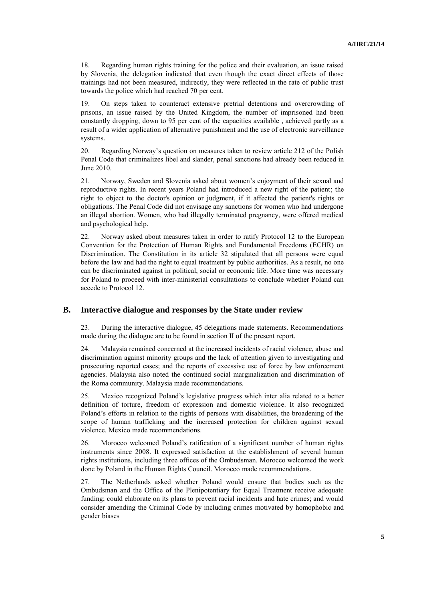18. Regarding human rights training for the police and their evaluation, an issue raised by Slovenia, the delegation indicated that even though the exact direct effects of those trainings had not been measured, indirectly, they were reflected in the rate of public trust towards the police which had reached 70 per cent.

19. On steps taken to counteract extensive pretrial detentions and overcrowding of prisons, an issue raised by the United Kingdom, the number of imprisoned had been constantly dropping, down to 95 per cent of the capacities available , achieved partly as a result of a wider application of alternative punishment and the use of electronic surveillance systems.

20. Regarding Norway's question on measures taken to review article 212 of the Polish Penal Code that criminalizes libel and slander, penal sanctions had already been reduced in June 2010.

21. Norway, Sweden and Slovenia asked about women's enjoyment of their sexual and reproductive rights. In recent years Poland had introduced a new right of the patient; the right to object to the doctor's opinion or judgment, if it affected the patient's rights or obligations. The Penal Code did not envisage any sanctions for women who had undergone an illegal abortion. Women, who had illegally terminated pregnancy, were offered medical and psychological help.

22. Norway asked about measures taken in order to ratify Protocol 12 to the European Convention for the Protection of Human Rights and Fundamental Freedoms (ECHR) on Discrimination. The Constitution in its article 32 stipulated that all persons were equal before the law and had the right to equal treatment by public authorities. As a result, no one can be discriminated against in political, social or economic life. More time was necessary for Poland to proceed with inter-ministerial consultations to conclude whether Poland can accede to Protocol 12.

### **B. Interactive dialogue and responses by the State under review**

23. During the interactive dialogue, 45 delegations made statements. Recommendations made during the dialogue are to be found in section II of the present report.

24. Malaysia remained concerned at the increased incidents of racial violence, abuse and discrimination against minority groups and the lack of attention given to investigating and prosecuting reported cases; and the reports of excessive use of force by law enforcement agencies. Malaysia also noted the continued social marginalization and discrimination of the Roma community. Malaysia made recommendations.

25. Mexico recognized Poland's legislative progress which inter alia related to a better definition of torture, freedom of expression and domestic violence. It also recognized Poland's efforts in relation to the rights of persons with disabilities, the broadening of the scope of human trafficking and the increased protection for children against sexual violence. Mexico made recommendations.

26. Morocco welcomed Poland's ratification of a significant number of human rights instruments since 2008. It expressed satisfaction at the establishment of several human rights institutions, including three offices of the Ombudsman. Morocco welcomed the work done by Poland in the Human Rights Council. Morocco made recommendations.

27. The Netherlands asked whether Poland would ensure that bodies such as the Ombudsman and the Office of the Plenipotentiary for Equal Treatment receive adequate funding; could elaborate on its plans to prevent racial incidents and hate crimes; and would consider amending the Criminal Code by including crimes motivated by homophobic and gender biases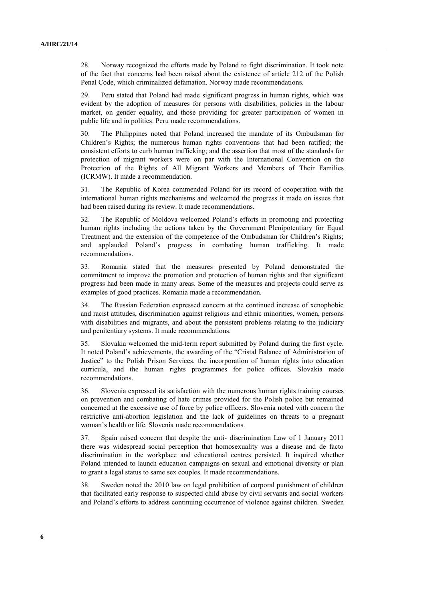28. Norway recognized the efforts made by Poland to fight discrimination. It took note of the fact that concerns had been raised about the existence of article 212 of the Polish Penal Code, which criminalized defamation. Norway made recommendations.

29. Peru stated that Poland had made significant progress in human rights, which was evident by the adoption of measures for persons with disabilities, policies in the labour market, on gender equality, and those providing for greater participation of women in public life and in politics. Peru made recommendations.

30. The Philippines noted that Poland increased the mandate of its Ombudsman for Children's Rights; the numerous human rights conventions that had been ratified; the consistent efforts to curb human trafficking; and the assertion that most of the standards for protection of migrant workers were on par with the International Convention on the Protection of the Rights of All Migrant Workers and Members of Their Families (ICRMW). It made a recommendation.

31. The Republic of Korea commended Poland for its record of cooperation with the international human rights mechanisms and welcomed the progress it made on issues that had been raised during its review. It made recommendations.

32. The Republic of Moldova welcomed Poland's efforts in promoting and protecting human rights including the actions taken by the Government Plenipotentiary for Equal Treatment and the extension of the competence of the Ombudsman for Children's Rights; and applauded Poland's progress in combating human trafficking. It made recommendations.

33. Romania stated that the measures presented by Poland demonstrated the commitment to improve the promotion and protection of human rights and that significant progress had been made in many areas. Some of the measures and projects could serve as examples of good practices. Romania made a recommendation.

34. The Russian Federation expressed concern at the continued increase of xenophobic and racist attitudes, discrimination against religious and ethnic minorities, women, persons with disabilities and migrants, and about the persistent problems relating to the judiciary and penitentiary systems. It made recommendations.

35. Slovakia welcomed the mid-term report submitted by Poland during the first cycle. It noted Poland's achievements, the awarding of the "Cristal Balance of Administration of Justice" to the Polish Prison Services, the incorporation of human rights into education curricula, and the human rights programmes for police offices. Slovakia made recommendations.

36. Slovenia expressed its satisfaction with the numerous human rights training courses on prevention and combating of hate crimes provided for the Polish police but remained concerned at the excessive use of force by police officers. Slovenia noted with concern the restrictive anti-abortion legislation and the lack of guidelines on threats to a pregnant woman's health or life. Slovenia made recommendations.

37. Spain raised concern that despite the anti- discrimination Law of 1 January 2011 there was widespread social perception that homosexuality was a disease and de facto discrimination in the workplace and educational centres persisted. It inquired whether Poland intended to launch education campaigns on sexual and emotional diversity or plan to grant a legal status to same sex couples. It made recommendations.

38. Sweden noted the 2010 law on legal prohibition of corporal punishment of children that facilitated early response to suspected child abuse by civil servants and social workers and Poland's efforts to address continuing occurrence of violence against children. Sweden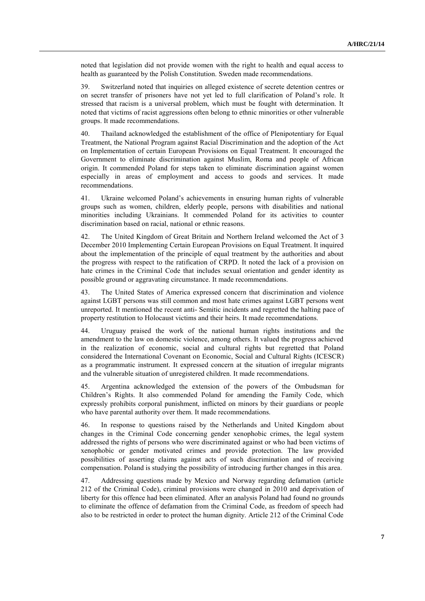noted that legislation did not provide women with the right to health and equal access to health as guaranteed by the Polish Constitution. Sweden made recommendations.

39. Switzerland noted that inquiries on alleged existence of secrete detention centres or on secret transfer of prisoners have not yet led to full clarification of Poland's role. It stressed that racism is a universal problem, which must be fought with determination. It noted that victims of racist aggressions often belong to ethnic minorities or other vulnerable groups. It made recommendations.

40. Thailand acknowledged the establishment of the office of Plenipotentiary for Equal Treatment, the National Program against Racial Discrimination and the adoption of the Act on Implementation of certain European Provisions on Equal Treatment. It encouraged the Government to eliminate discrimination against Muslim, Roma and people of African origin. It commended Poland for steps taken to eliminate discrimination against women especially in areas of employment and access to goods and services. It made recommendations.

41. Ukraine welcomed Poland's achievements in ensuring human rights of vulnerable groups such as women, children, elderly people, persons with disabilities and national minorities including Ukrainians. It commended Poland for its activities to counter discrimination based on racial, national or ethnic reasons.

42. The United Kingdom of Great Britain and Northern Ireland welcomed the Act of 3 December 2010 Implementing Certain European Provisions on Equal Treatment. It inquired about the implementation of the principle of equal treatment by the authorities and about the progress with respect to the ratification of CRPD. It noted the lack of a provision on hate crimes in the Criminal Code that includes sexual orientation and gender identity as possible ground or aggravating circumstance. It made recommendations.

43. The United States of America expressed concern that discrimination and violence against LGBT persons was still common and most hate crimes against LGBT persons went unreported. It mentioned the recent anti- Semitic incidents and regretted the halting pace of property restitution to Holocaust victims and their heirs. It made recommendations.

44. Uruguay praised the work of the national human rights institutions and the amendment to the law on domestic violence, among others. It valued the progress achieved in the realization of economic, social and cultural rights but regretted that Poland considered the International Covenant on Economic, Social and Cultural Rights (ICESCR) as a programmatic instrument. It expressed concern at the situation of irregular migrants and the vulnerable situation of unregistered children. It made recommendations.

45. Argentina acknowledged the extension of the powers of the Ombudsman for Children's Rights. It also commended Poland for amending the Family Code, which expressly prohibits corporal punishment, inflicted on minors by their guardians or people who have parental authority over them. It made recommendations.

46. In response to questions raised by the Netherlands and United Kingdom about changes in the Criminal Code concerning gender xenophobic crimes, the legal system addressed the rights of persons who were discriminated against or who had been victims of xenophobic or gender motivated crimes and provide protection. The law provided possibilities of asserting claims against acts of such discrimination and of receiving compensation. Poland is studying the possibility of introducing further changes in this area.

47. Addressing questions made by Mexico and Norway regarding defamation (article 212 of the Criminal Code), criminal provisions were changed in 2010 and deprivation of liberty for this offence had been eliminated. After an analysis Poland had found no grounds to eliminate the offence of defamation from the Criminal Code, as freedom of speech had also to be restricted in order to protect the human dignity. Article 212 of the Criminal Code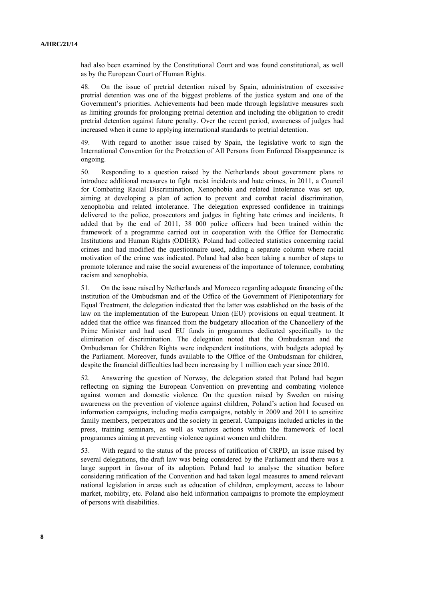had also been examined by the Constitutional Court and was found constitutional, as well as by the European Court of Human Rights.

48. On the issue of pretrial detention raised by Spain, administration of excessive pretrial detention was one of the biggest problems of the justice system and one of the Government's priorities. Achievements had been made through legislative measures such as limiting grounds for prolonging pretrial detention and including the obligation to credit pretrial detention against future penalty. Over the recent period, awareness of judges had increased when it came to applying international standards to pretrial detention.

49. With regard to another issue raised by Spain, the legislative work to sign the International Convention for the Protection of All Persons from Enforced Disappearance is ongoing.

50. Responding to a question raised by the Netherlands about government plans to introduce additional measures to fight racist incidents and hate crimes, in 2011, a Council for Combating Racial Discrimination, Xenophobia and related Intolerance was set up, aiming at developing a plan of action to prevent and combat racial discrimination, xenophobia and related intolerance. The delegation expressed confidence in trainings delivered to the police, prosecutors and judges in fighting hate crimes and incidents. It added that by the end of 2011, 38 000 police officers had been trained within the framework of a programme carried out in cooperation with the Office for Democratic Institutions and Human Rights (ODIHR). Poland had collected statistics concerning racial crimes and had modified the questionnaire used, adding a separate column where racial motivation of the crime was indicated. Poland had also been taking a number of steps to promote tolerance and raise the social awareness of the importance of tolerance, combating racism and xenophobia.

51. On the issue raised by Netherlands and Morocco regarding adequate financing of the institution of the Ombudsman and of the Office of the Government of Plenipotentiary for Equal Treatment, the delegation indicated that the latter was established on the basis of the law on the implementation of the European Union (EU) provisions on equal treatment. It added that the office was financed from the budgetary allocation of the Chancellery of the Prime Minister and had used EU funds in programmes dedicated specifically to the elimination of discrimination. The delegation noted that the Ombudsman and the Ombudsman for Children Rights were independent institutions, with budgets adopted by the Parliament. Moreover, funds available to the Office of the Ombudsman for children, despite the financial difficulties had been increasing by 1 million each year since 2010.

52. Answering the question of Norway, the delegation stated that Poland had begun reflecting on signing the European Convention on preventing and combating violence against women and domestic violence. On the question raised by Sweden on raising awareness on the prevention of violence against children, Poland's action had focused on information campaigns, including media campaigns, notably in 2009 and 2011 to sensitize family members, perpetrators and the society in general. Campaigns included articles in the press, training seminars, as well as various actions within the framework of local programmes aiming at preventing violence against women and children.

53. With regard to the status of the process of ratification of CRPD, an issue raised by several delegations, the draft law was being considered by the Parliament and there was a large support in favour of its adoption. Poland had to analyse the situation before considering ratification of the Convention and had taken legal measures to amend relevant national legislation in areas such as education of children, employment, access to labour market, mobility, etc. Poland also held information campaigns to promote the employment of persons with disabilities.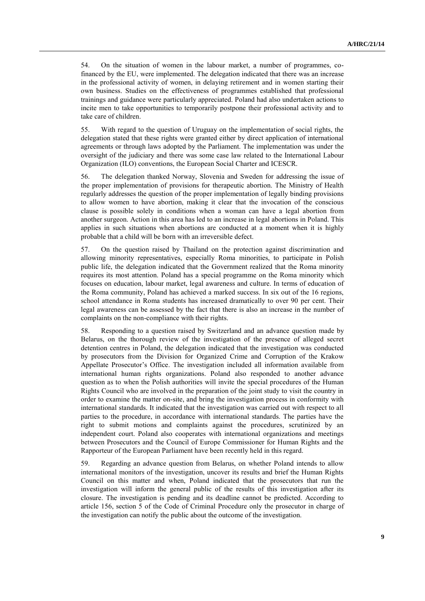54. On the situation of women in the labour market, a number of programmes, cofinanced by the EU, were implemented. The delegation indicated that there was an increase in the professional activity of women, in delaying retirement and in women starting their own business. Studies on the effectiveness of programmes established that professional trainings and guidance were particularly appreciated. Poland had also undertaken actions to incite men to take opportunities to temporarily postpone their professional activity and to take care of children.

55. With regard to the question of Uruguay on the implementation of social rights, the delegation stated that these rights were granted either by direct application of international agreements or through laws adopted by the Parliament. The implementation was under the oversight of the judiciary and there was some case law related to the International Labour Organization (ILO) conventions, the European Social Charter and ICESCR.

56. The delegation thanked Norway, Slovenia and Sweden for addressing the issue of the proper implementation of provisions for therapeutic abortion. The Ministry of Health regularly addresses the question of the proper implementation of legally binding provisions to allow women to have abortion, making it clear that the invocation of the conscious clause is possible solely in conditions when a woman can have a legal abortion from another surgeon. Action in this area has led to an increase in legal abortions in Poland. This applies in such situations when abortions are conducted at a moment when it is highly probable that a child will be born with an irreversible defect.

57. On the question raised by Thailand on the protection against discrimination and allowing minority representatives, especially Roma minorities, to participate in Polish public life, the delegation indicated that the Government realized that the Roma minority requires its most attention. Poland has a special programme on the Roma minority which focuses on education, labour market, legal awareness and culture. In terms of education of the Roma community, Poland has achieved a marked success. In six out of the 16 regions, school attendance in Roma students has increased dramatically to over 90 per cent. Their legal awareness can be assessed by the fact that there is also an increase in the number of complaints on the non-compliance with their rights.

58. Responding to a question raised by Switzerland and an advance question made by Belarus, on the thorough review of the investigation of the presence of alleged secret detention centres in Poland, the delegation indicated that the investigation was conducted by prosecutors from the Division for Organized Crime and Corruption of the Krakow Appellate Prosecutor's Office. The investigation included all information available from international human rights organizations. Poland also responded to another advance question as to when the Polish authorities will invite the special procedures of the Human Rights Council who are involved in the preparation of the joint study to visit the country in order to examine the matter on-site, and bring the investigation process in conformity with international standards. It indicated that the investigation was carried out with respect to all parties to the procedure, in accordance with international standards. The parties have the right to submit motions and complaints against the procedures, scrutinized by an independent court. Poland also cooperates with international organizations and meetings between Prosecutors and the Council of Europe Commissioner for Human Rights and the Rapporteur of the European Parliament have been recently held in this regard.

59. Regarding an advance question from Belarus, on whether Poland intends to allow international monitors of the investigation, uncover its results and brief the Human Rights Council on this matter and when, Poland indicated that the prosecutors that run the investigation will inform the general public of the results of this investigation after its closure. The investigation is pending and its deadline cannot be predicted. According to article 156, section 5 of the Code of Criminal Procedure only the prosecutor in charge of the investigation can notify the public about the outcome of the investigation.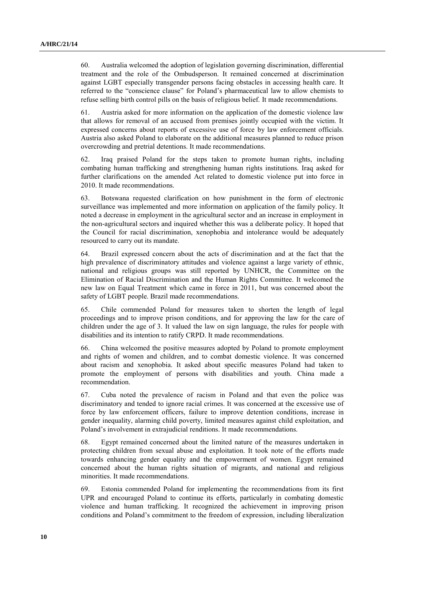60. Australia welcomed the adoption of legislation governing discrimination, differential treatment and the role of the Ombudsperson. It remained concerned at discrimination against LGBT especially transgender persons facing obstacles in accessing health care. It referred to the "conscience clause" for Poland's pharmaceutical law to allow chemists to refuse selling birth control pills on the basis of religious belief. It made recommendations.

61. Austria asked for more information on the application of the domestic violence law that allows for removal of an accused from premises jointly occupied with the victim. It expressed concerns about reports of excessive use of force by law enforcement officials. Austria also asked Poland to elaborate on the additional measures planned to reduce prison overcrowding and pretrial detentions. It made recommendations.

62. Iraq praised Poland for the steps taken to promote human rights, including combating human trafficking and strengthening human rights institutions. Iraq asked for further clarifications on the amended Act related to domestic violence put into force in 2010. It made recommendations.

63. Botswana requested clarification on how punishment in the form of electronic surveillance was implemented and more information on application of the family policy. It noted a decrease in employment in the agricultural sector and an increase in employment in the non-agricultural sectors and inquired whether this was a deliberate policy. It hoped that the Council for racial discrimination, xenophobia and intolerance would be adequately resourced to carry out its mandate.

64. Brazil expressed concern about the acts of discrimination and at the fact that the high prevalence of discriminatory attitudes and violence against a large variety of ethnic, national and religious groups was still reported by UNHCR, the Committee on the Elimination of Racial Discrimination and the Human Rights Committee. It welcomed the new law on Equal Treatment which came in force in 2011, but was concerned about the safety of LGBT people. Brazil made recommendations.

65. Chile commended Poland for measures taken to shorten the length of legal proceedings and to improve prison conditions, and for approving the law for the care of children under the age of 3. It valued the law on sign language, the rules for people with disabilities and its intention to ratify CRPD. It made recommendations.

66. China welcomed the positive measures adopted by Poland to promote employment and rights of women and children, and to combat domestic violence. It was concerned about racism and xenophobia. It asked about specific measures Poland had taken to promote the employment of persons with disabilities and youth. China made a recommendation.

67. Cuba noted the prevalence of racism in Poland and that even the police was discriminatory and tended to ignore racial crimes. It was concerned at the excessive use of force by law enforcement officers, failure to improve detention conditions, increase in gender inequality, alarming child poverty, limited measures against child exploitation, and Poland's involvement in extrajudicial renditions. It made recommendations.

68. Egypt remained concerned about the limited nature of the measures undertaken in protecting children from sexual abuse and exploitation. It took note of the efforts made towards enhancing gender equality and the empowerment of women. Egypt remained concerned about the human rights situation of migrants, and national and religious minorities. It made recommendations.

69. Estonia commended Poland for implementing the recommendations from its first UPR and encouraged Poland to continue its efforts, particularly in combating domestic violence and human trafficking. It recognized the achievement in improving prison conditions and Poland's commitment to the freedom of expression, including liberalization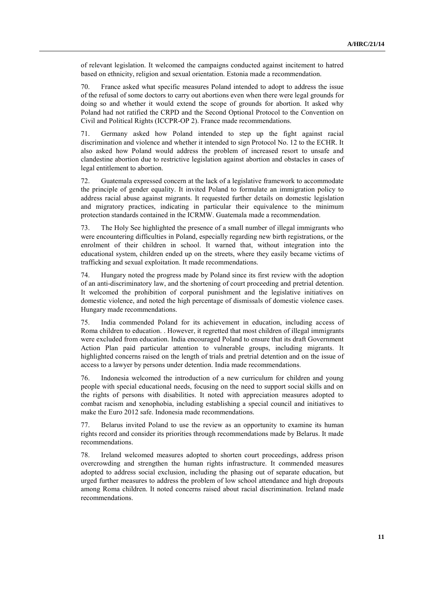of relevant legislation. It welcomed the campaigns conducted against incitement to hatred based on ethnicity, religion and sexual orientation. Estonia made a recommendation.

70. France asked what specific measures Poland intended to adopt to address the issue of the refusal of some doctors to carry out abortions even when there were legal grounds for doing so and whether it would extend the scope of grounds for abortion. It asked why Poland had not ratified the CRPD and the Second Optional Protocol to the Convention on Civil and Political Rights (ICCPR-OP 2). France made recommendations.

71. Germany asked how Poland intended to step up the fight against racial discrimination and violence and whether it intended to sign Protocol No. 12 to the ECHR. It also asked how Poland would address the problem of increased resort to unsafe and clandestine abortion due to restrictive legislation against abortion and obstacles in cases of legal entitlement to abortion.

72. Guatemala expressed concern at the lack of a legislative framework to accommodate the principle of gender equality. It invited Poland to formulate an immigration policy to address racial abuse against migrants. It requested further details on domestic legislation and migratory practices, indicating in particular their equivalence to the minimum protection standards contained in the ICRMW. Guatemala made a recommendation.

73. The Holy See highlighted the presence of a small number of illegal immigrants who were encountering difficulties in Poland, especially regarding new birth registrations, or the enrolment of their children in school. It warned that, without integration into the educational system, children ended up on the streets, where they easily became victims of trafficking and sexual exploitation. It made recommendations.

74. Hungary noted the progress made by Poland since its first review with the adoption of an anti-discriminatory law, and the shortening of court proceeding and pretrial detention. It welcomed the prohibition of corporal punishment and the legislative initiatives on domestic violence, and noted the high percentage of dismissals of domestic violence cases. Hungary made recommendations.

75. India commended Poland for its achievement in education, including access of Roma children to education. . However, it regretted that most children of illegal immigrants were excluded from education. India encouraged Poland to ensure that its draft Government Action Plan paid particular attention to vulnerable groups, including migrants. It highlighted concerns raised on the length of trials and pretrial detention and on the issue of access to a lawyer by persons under detention. India made recommendations.

76. Indonesia welcomed the introduction of a new curriculum for children and young people with special educational needs, focusing on the need to support social skills and on the rights of persons with disabilities. It noted with appreciation measures adopted to combat racism and xenophobia, including establishing a special council and initiatives to make the Euro 2012 safe. Indonesia made recommendations.

77. Belarus invited Poland to use the review as an opportunity to examine its human rights record and consider its priorities through recommendations made by Belarus. It made recommendations.

78. Ireland welcomed measures adopted to shorten court proceedings, address prison overcrowding and strengthen the human rights infrastructure. It commended measures adopted to address social exclusion, including the phasing out of separate education, but urged further measures to address the problem of low school attendance and high dropouts among Roma children. It noted concerns raised about racial discrimination. Ireland made recommendations.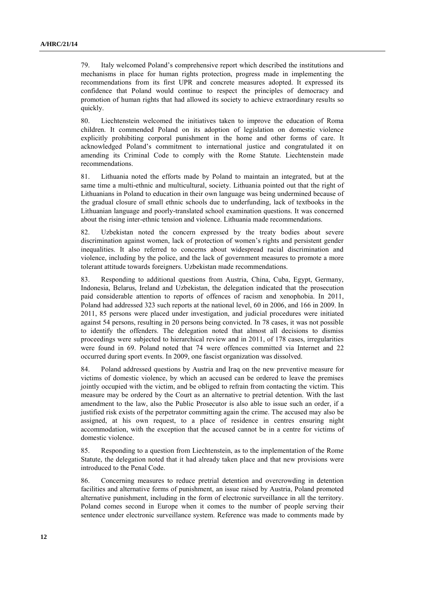79. Italy welcomed Poland's comprehensive report which described the institutions and mechanisms in place for human rights protection, progress made in implementing the recommendations from its first UPR and concrete measures adopted. It expressed its confidence that Poland would continue to respect the principles of democracy and promotion of human rights that had allowed its society to achieve extraordinary results so quickly.

80. Liechtenstein welcomed the initiatives taken to improve the education of Roma children. It commended Poland on its adoption of legislation on domestic violence explicitly prohibiting corporal punishment in the home and other forms of care. It acknowledged Poland's commitment to international justice and congratulated it on amending its Criminal Code to comply with the Rome Statute. Liechtenstein made recommendations.

81. Lithuania noted the efforts made by Poland to maintain an integrated, but at the same time a multi-ethnic and multicultural, society. Lithuania pointed out that the right of Lithuanians in Poland to education in their own language was being undermined because of the gradual closure of small ethnic schools due to underfunding, lack of textbooks in the Lithuanian language and poorly-translated school examination questions. It was concerned about the rising inter-ethnic tension and violence. Lithuania made recommendations.

82. Uzbekistan noted the concern expressed by the treaty bodies about severe discrimination against women, lack of protection of women's rights and persistent gender inequalities. It also referred to concerns about widespread racial discrimination and violence, including by the police, and the lack of government measures to promote a more tolerant attitude towards foreigners. Uzbekistan made recommendations.

83. Responding to additional questions from Austria, China, Cuba, Egypt, Germany, Indonesia, Belarus, Ireland and Uzbekistan, the delegation indicated that the prosecution paid considerable attention to reports of offences of racism and xenophobia. In 2011, Poland had addressed 323 such reports at the national level, 60 in 2006, and 166 in 2009. In 2011, 85 persons were placed under investigation, and judicial procedures were initiated against 54 persons, resulting in 20 persons being convicted. In 78 cases, it was not possible to identify the offenders. The delegation noted that almost all decisions to dismiss proceedings were subjected to hierarchical review and in 2011, of 178 cases, irregularities were found in 69. Poland noted that 74 were offences committed via Internet and 22 occurred during sport events. In 2009, one fascist organization was dissolved.

84. Poland addressed questions by Austria and Iraq on the new preventive measure for victims of domestic violence, by which an accused can be ordered to leave the premises jointly occupied with the victim, and be obliged to refrain from contacting the victim. This measure may be ordered by the Court as an alternative to pretrial detention. With the last amendment to the law, also the Public Prosecutor is also able to issue such an order, if a justified risk exists of the perpetrator committing again the crime. The accused may also be assigned, at his own request, to a place of residence in centres ensuring night accommodation, with the exception that the accused cannot be in a centre for victims of domestic violence.

85. Responding to a question from Liechtenstein, as to the implementation of the Rome Statute, the delegation noted that it had already taken place and that new provisions were introduced to the Penal Code.

86. Concerning measures to reduce pretrial detention and overcrowding in detention facilities and alternative forms of punishment, an issue raised by Austria, Poland promoted alternative punishment, including in the form of electronic surveillance in all the territory. Poland comes second in Europe when it comes to the number of people serving their sentence under electronic surveillance system. Reference was made to comments made by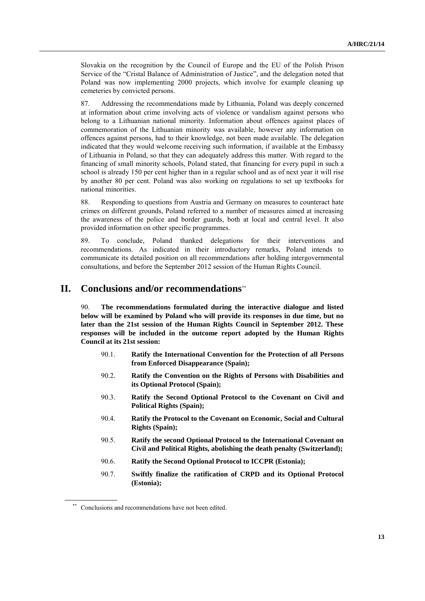Slovakia on the recognition by the Council of Europe and the EU of the Polish Prison Service of the "Cristal Balance of Administration of Justice", and the delegation noted that Poland was now implementing 2000 projects, which involve for example cleaning up cemeteries by convicted persons.

87. Addressing the recommendations made by Lithuania, Poland was deeply concerned at information about crime involving acts of violence or vandalism against persons who belong to a Lithuanian national minority. Information about offences against places of commemoration of the Lithuanian minority was available, however any information on offences against persons, had to their knowledge, not been made available. The delegation indicated that they would welcome receiving such information, if available at the Embassy of Lithuania in Poland, so that they can adequately address this matter. With regard to the financing of small minority schools, Poland stated, that financing for every pupil in such a school is already 150 per cent higher than in a regular school and as of next year it will rise by another 80 per cent. Poland was also working on regulations to set up textbooks for national minorities.

88. Responding to questions from Austria and Germany on measures to counteract hate crimes on different grounds, Poland referred to a number of measures aimed at increasing the awareness of the police and border guards, both at local and central level. It also provided information on other specific programmes.

89. To conclude, Poland thanked delegations for their interventions and recommendations. As indicated in their introductory remarks, Poland intends to communicate its detailed position on all recommendations after holding intergovernmental consultations, and before the September 2012 session of the Human Rights Council.

## **II. Conclusions and/or recommendations**\*\*

90. **The recommendations formulated during the interactive dialogue and listed below will be examined by Poland who will provide its responses in due time, but no later than the 21st session of the Human Rights Council in September 2012. These responses will be included in the outcome report adopted by the Human Rights Council at its 21st session:**

- 90.1. **Ratify the International Convention for the Protection of all Persons from Enforced Disappearance (Spain);**
- 90.2. **Ratify the Convention on the Rights of Persons with Disabilities and its Optional Protocol (Spain);**
- 90.3. **Ratify the Second Optional Protocol to the Covenant on Civil and Political Rights (Spain);**
- 90.4. **Ratify the Protocol to the Covenant on Economic, Social and Cultural Rights (Spain);**
- 90.5. **Ratify the second Optional Protocol to the International Covenant on Civil and Political Rights, abolishing the death penalty (Switzerland);**
- 90.6. **Ratify the Second Optional Protocol to ICCPR (Estonia);**
- 90.7. **Swiftly finalize the ratification of CRPD and its Optional Protocol (Estonia);**

<sup>\*\*</sup> Conclusions and recommendations have not been edited.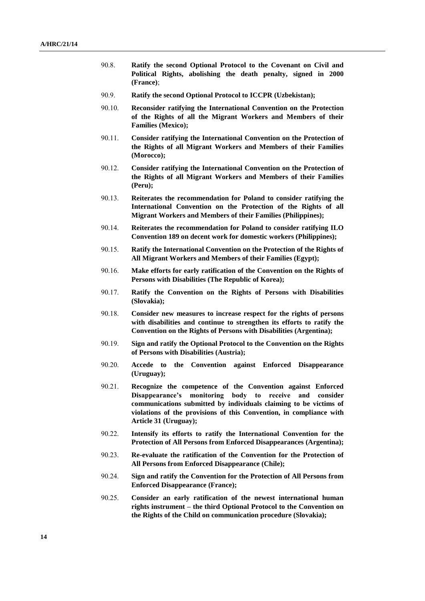- 90.8. **Ratify the second Optional Protocol to the Covenant on Civil and Political Rights, abolishing the death penalty, signed in 2000 (France)**;
- 90.9. **Ratify the second Optional Protocol to ICCPR (Uzbekistan);**
- 90.10. **Reconsider ratifying the International Convention on the Protection of the Rights of all the Migrant Workers and Members of their Families (Mexico);**
- 90.11. **Consider ratifying the International Convention on the Protection of the Rights of all Migrant Workers and Members of their Families (Morocco);**
- 90.12. **Consider ratifying the International Convention on the Protection of the Rights of all Migrant Workers and Members of their Families (Peru);**
- 90.13. **Reiterates the recommendation for Poland to consider ratifying the International Convention on the Protection of the Rights of all Migrant Workers and Members of their Families (Philippines);**
- 90.14. **Reiterates the recommendation for Poland to consider ratifying ILO Convention 189 on decent work for domestic workers (Philippines);**
- 90.15. **Ratify the International Convention on the Protection of the Rights of All Migrant Workers and Members of their Families (Egypt);**
- 90.16. **Make efforts for early ratification of the Convention on the Rights of Persons with Disabilities (The Republic of Korea);**
- 90.17. **Ratify the Convention on the Rights of Persons with Disabilities (Slovakia);**
- 90.18. **Consider new measures to increase respect for the rights of persons with disabilities and continue to strengthen its efforts to ratify the Convention on the Rights of Persons with Disabilities (Argentina);**
- 90.19. **Sign and ratify the Optional Protocol to the Convention on the Rights of Persons with Disabilities (Austria);**
- 90.20. **Accede to the Convention against Enforced Disappearance (Uruguay);**
- 90.21. **Recognize the competence of the Convention against Enforced Disappearance's monitoring body to receive and consider communications submitted by individuals claiming to be victims of violations of the provisions of this Convention, in compliance with Article 31 (Uruguay);**
- 90.22. **Intensify its efforts to ratify the International Convention for the Protection of All Persons from Enforced Disappearances (Argentina);**
- 90.23. **Re-evaluate the ratification of the Convention for the Protection of All Persons from Enforced Disappearance (Chile);**
- 90.24. **Sign and ratify the Convention for the Protection of All Persons from Enforced Disappearance (France);**
- 90.25. **Consider an early ratification of the newest international human rights instrument – the third Optional Protocol to the Convention on the Rights of the Child on communication procedure (Slovakia);**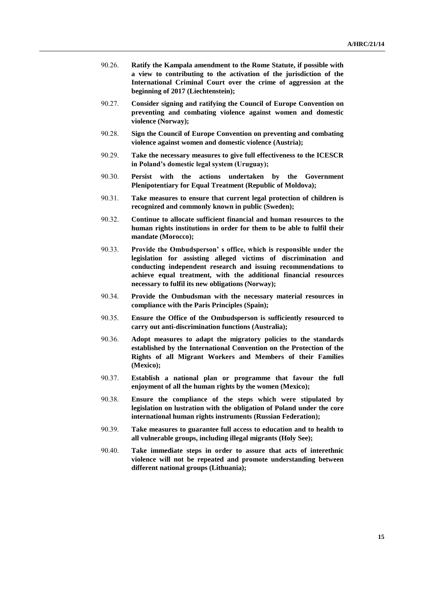- 90.26. **Ratify the Kampala amendment to the Rome Statute, if possible with a view to contributing to the activation of the jurisdiction of the International Criminal Court over the crime of aggression at the beginning of 2017 (Liechtenstein);**
- 90.27. **Consider signing and ratifying the Council of Europe Convention on preventing and combating violence against women and domestic violence (Norway);**
- 90.28. **Sign the Council of Europe Convention on preventing and combating violence against women and domestic violence (Austria);**
- 90.29. **Take the necessary measures to give full effectiveness to the ICESCR in Poland's domestic legal system (Uruguay);**
- 90.30. **Persist with the actions undertaken by the Government Plenipotentiary for Equal Treatment (Republic of Moldova);**
- 90.31. **Take measures to ensure that current legal protection of children is recognized and commonly known in public (Sweden);**
- 90.32. **Continue to allocate sufficient financial and human resources to the human rights institutions in order for them to be able to fulfil their mandate (Morocco);**
- 90.33. **Provide the Ombudsperson' s office, which is responsible under the legislation for assisting alleged victims of discrimination and conducting independent research and issuing recommendations to achieve equal treatment, with the additional financial resources necessary to fulfil its new obligations (Norway);**
- 90.34. **Provide the Ombudsman with the necessary material resources in compliance with the Paris Principles (Spain);**
- 90.35. **Ensure the Office of the Ombudsperson is sufficiently resourced to carry out anti-discrimination functions (Australia);**
- 90.36. **Adopt measures to adapt the migratory policies to the standards established by the International Convention on the Protection of the Rights of all Migrant Workers and Members of their Families (Mexico);**
- 90.37. **Establish a national plan or programme that favour the full enjoyment of all the human rights by the women (Mexico);**
- 90.38. **Ensure the compliance of the steps which were stipulated by legislation on lustration with the obligation of Poland under the core international human rights instruments (Russian Federation);**
- 90.39. **Take measures to guarantee full access to education and to health to all vulnerable groups, including illegal migrants (Holy See);**
- 90.40. **Take immediate steps in order to assure that acts of interethnic violence will not be repeated and promote understanding between different national groups (Lithuania);**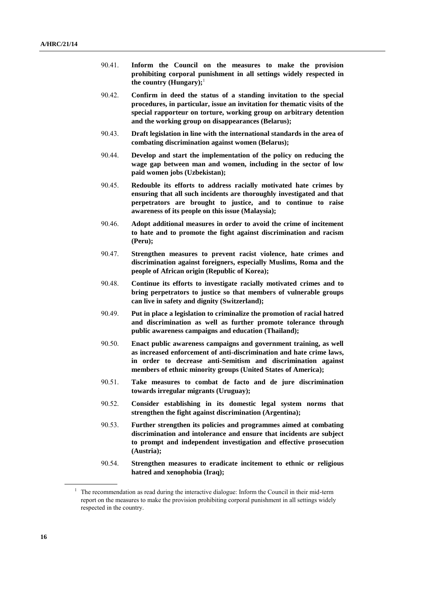- 90.41. **Inform the Council on the measures to make the provision prohibiting corporal punishment in all settings widely respected in the country (Hungary);**<sup>1</sup>
- 90.42. **Confirm in deed the status of a standing invitation to the special procedures, in particular, issue an invitation for thematic visits of the special rapporteur on torture, working group on arbitrary detention and the working group on disappearances (Belarus);**
- 90.43. **Draft legislation in line with the international standards in the area of combating discrimination against women (Belarus);**
- 90.44. **Develop and start the implementation of the policy on reducing the wage gap between man and women, including in the sector of low paid women jobs (Uzbekistan);**
- 90.45. **Redouble its efforts to address racially motivated hate crimes by ensuring that all such incidents are thoroughly investigated and that perpetrators are brought to justice, and to continue to raise awareness of its people on this issue (Malaysia);**
- 90.46. **Adopt additional measures in order to avoid the crime of incitement to hate and to promote the fight against discrimination and racism (Peru);**
- 90.47. **Strengthen measures to prevent racist violence, hate crimes and discrimination against foreigners, especially Muslims, Roma and the people of African origin (Republic of Korea);**
- 90.48. **Continue its efforts to investigate racially motivated crimes and to bring perpetrators to justice so that members of vulnerable groups can live in safety and dignity (Switzerland);**
- 90.49. **Put in place a legislation to criminalize the promotion of racial hatred and discrimination as well as further promote tolerance through public awareness campaigns and education (Thailand);**
- 90.50. **Enact public awareness campaigns and government training, as well as increased enforcement of anti-discrimination and hate crime laws, in order to decrease anti-Semitism and discrimination against members of ethnic minority groups (United States of America);**
- 90.51. **Take measures to combat de facto and de jure discrimination towards irregular migrants (Uruguay);**
- 90.52. **Consider establishing in its domestic legal system norms that strengthen the fight against discrimination (Argentina);**
- 90.53. **Further strengthen its policies and programmes aimed at combating discrimination and intolerance and ensure that incidents are subject to prompt and independent investigation and effective prosecution (Austria);**
- 90.54. **Strengthen measures to eradicate incitement to ethnic or religious hatred and xenophobia (Iraq);**

<sup>&</sup>lt;sup>1</sup> The recommendation as read during the interactive dialogue: Inform the Council in their mid-term report on the measures to make the provision prohibiting corporal punishment in all settings widely respected in the country.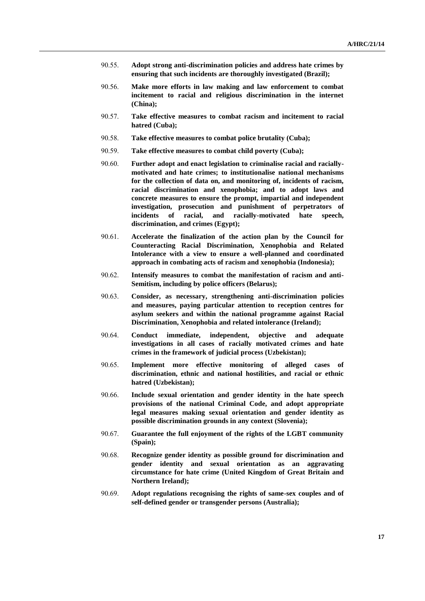- 90.55. **Adopt strong anti-discrimination policies and address hate crimes by ensuring that such incidents are thoroughly investigated (Brazil);**
- 90.56. **Make more efforts in law making and law enforcement to combat incitement to racial and religious discrimination in the internet (China);**
- 90.57. **Take effective measures to combat racism and incitement to racial hatred (Cuba);**
- 90.58. **Take effective measures to combat police brutality (Cuba);**
- 90.59. **Take effective measures to combat child poverty (Cuba);**
- 90.60. **Further adopt and enact legislation to criminalise racial and raciallymotivated and hate crimes; to institutionalise national mechanisms for the collection of data on, and monitoring of, incidents of racism, racial discrimination and xenophobia; and to adopt laws and concrete measures to ensure the prompt, impartial and independent investigation, prosecution and punishment of perpetrators of incidents of racial, and racially-motivated hate speech, discrimination, and crimes (Egypt);**
- 90.61. **Accelerate the finalization of the action plan by the Council for Counteracting Racial Discrimination, Xenophobia and Related Intolerance with a view to ensure a well-planned and coordinated approach in combating acts of racism and xenophobia (Indonesia);**
- 90.62. **Intensify measures to combat the manifestation of racism and anti-Semitism, including by police officers (Belarus);**
- 90.63. **Consider, as necessary, strengthening anti-discrimination policies and measures, paying particular attention to reception centres for asylum seekers and within the national programme against Racial Discrimination, Xenophobia and related intolerance (Ireland);**
- 90.64. **Conduct immediate, independent, objective and adequate investigations in all cases of racially motivated crimes and hate crimes in the framework of judicial process (Uzbekistan);**
- 90.65. **Implement more effective monitoring of alleged cases of discrimination, ethnic and national hostilities, and racial or ethnic hatred (Uzbekistan);**
- 90.66. **Include sexual orientation and gender identity in the hate speech provisions of the national Criminal Code, and adopt appropriate legal measures making sexual orientation and gender identity as possible discrimination grounds in any context (Slovenia);**
- 90.67. **Guarantee the full enjoyment of the rights of the LGBT community (Spain);**
- 90.68. **Recognize gender identity as possible ground for discrimination and gender identity and sexual orientation as an aggravating circumstance for hate crime (United Kingdom of Great Britain and Northern Ireland);**
- 90.69. **Adopt regulations recognising the rights of same-sex couples and of self-defined gender or transgender persons (Australia);**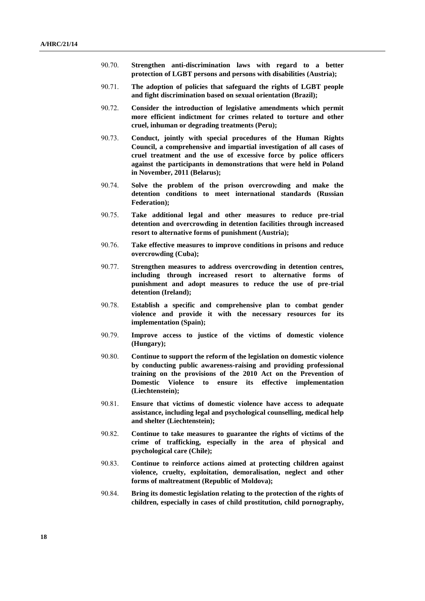- 90.70. **Strengthen anti-discrimination laws with regard to a better protection of LGBT persons and persons with disabilities (Austria);**
- 90.71. **The adoption of policies that safeguard the rights of LGBT people and fight discrimination based on sexual orientation (Brazil);**
- 90.72. **Consider the introduction of legislative amendments which permit more efficient indictment for crimes related to torture and other cruel, inhuman or degrading treatments (Peru);**
- 90.73. **Conduct, jointly with special procedures of the Human Rights Council, a comprehensive and impartial investigation of all cases of cruel treatment and the use of excessive force by police officers against the participants in demonstrations that were held in Poland in November, 2011 (Belarus);**
- 90.74. **Solve the problem of the prison overcrowding and make the detention conditions to meet international standards (Russian Federation);**
- 90.75. **Take additional legal and other measures to reduce pre-trial detention and overcrowding in detention facilities through increased resort to alternative forms of punishment (Austria);**
- 90.76. **Take effective measures to improve conditions in prisons and reduce overcrowding (Cuba);**
- 90.77. **Strengthen measures to address overcrowding in detention centres, including through increased resort to alternative forms of punishment and adopt measures to reduce the use of pre-trial detention (Ireland);**
- 90.78. **Establish a specific and comprehensive plan to combat gender violence and provide it with the necessary resources for its implementation (Spain);**
- 90.79. **Improve access to justice of the victims of domestic violence (Hungary);**
- 90.80. **Continue to support the reform of the legislation on domestic violence by conducting public awareness-raising and providing professional training on the provisions of the 2010 Act on the Prevention of Domestic Violence to ensure its effective implementation (Liechtenstein);**
- 90.81. **Ensure that victims of domestic violence have access to adequate assistance, including legal and psychological counselling, medical help and shelter (Liechtenstein);**
- 90.82. **Continue to take measures to guarantee the rights of victims of the crime of trafficking, especially in the area of physical and psychological care (Chile);**
- 90.83. **Continue to reinforce actions aimed at protecting children against violence, cruelty, exploitation, demoralisation, neglect and other forms of maltreatment (Republic of Moldova);**
- 90.84. **Bring its domestic legislation relating to the protection of the rights of children, especially in cases of child prostitution, child pornography,**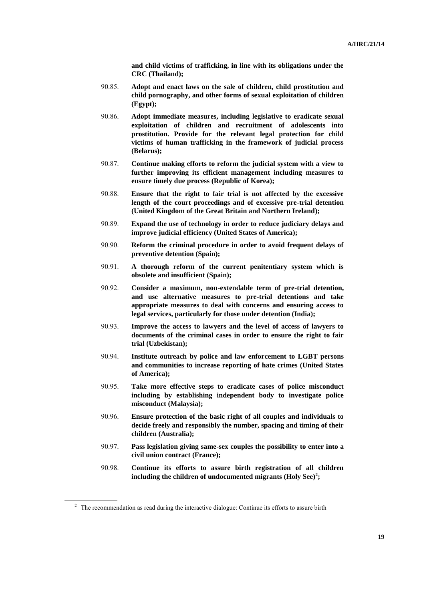**and child victims of trafficking, in line with its obligations under the CRC (Thailand);**

- 90.85. **Adopt and enact laws on the sale of children, child prostitution and child pornography, and other forms of sexual exploitation of children (Egypt);**
- 90.86. **Adopt immediate measures, including legislative to eradicate sexual exploitation of children and recruitment of adolescents into prostitution. Provide for the relevant legal protection for child victims of human trafficking in the framework of judicial process (Belarus);**
- 90.87. **Continue making efforts to reform the judicial system with a view to further improving its efficient management including measures to ensure timely due process (Republic of Korea);**
- 90.88. **Ensure that the right to fair trial is not affected by the excessive length of the court proceedings and of excessive pre-trial detention (United Kingdom of the Great Britain and Northern Ireland);**
- 90.89. **Expand the use of technology in order to reduce judiciary delays and improve judicial efficiency (United States of America);**
- 90.90. **Reform the criminal procedure in order to avoid frequent delays of preventive detention (Spain);**
- 90.91. **A thorough reform of the current penitentiary system which is obsolete and insufficient (Spain);**
- 90.92. **Consider a maximum, non-extendable term of pre-trial detention, and use alternative measures to pre-trial detentions and take appropriate measures to deal with concerns and ensuring access to legal services, particularly for those under detention (India);**
- 90.93. **Improve the access to lawyers and the level of access of lawyers to documents of the criminal cases in order to ensure the right to fair trial (Uzbekistan);**
- 90.94. **Institute outreach by police and law enforcement to LGBT persons and communities to increase reporting of hate crimes (United States of America);**
- 90.95. **Take more effective steps to eradicate cases of police misconduct including by establishing independent body to investigate police misconduct (Malaysia);**
- 90.96. **Ensure protection of the basic right of all couples and individuals to decide freely and responsibly the number, spacing and timing of their children (Australia);**
- 90.97. **Pass legislation giving same-sex couples the possibility to enter into a civil union contract (France);**
- 90.98. **Continue its efforts to assure birth registration of all children including the children of undocumented migrants (Holy See)<sup>2</sup> ;**

<sup>&</sup>lt;sup>2</sup> The recommendation as read during the interactive dialogue: Continue its efforts to assure birth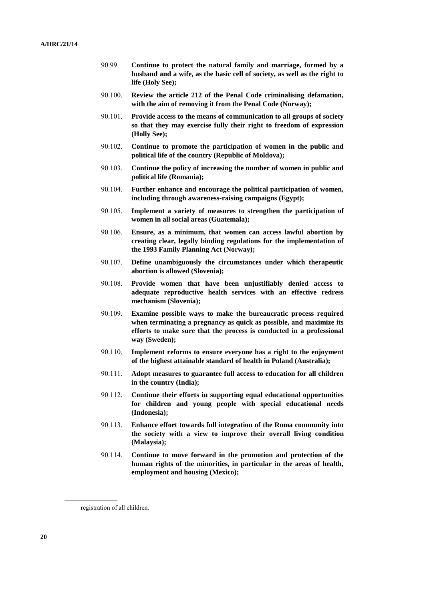- 90.99. **Continue to protect the natural family and marriage, formed by a husband and a wife, as the basic cell of society, as well as the right to life (Holy See);**
- 90.100. **Review the article 212 of the Penal Code criminalising defamation, with the aim of removing it from the Penal Code (Norway);**
- 90.101. **Provide access to the means of communication to all groups of society so that they may exercise fully their right to freedom of expression (Holly See);**
- 90.102. **Continue to promote the participation of women in the public and political life of the country (Republic of Moldova);**
- 90.103. **Continue the policy of increasing the number of women in public and political life (Romania);**
- 90.104. **Further enhance and encourage the political participation of women, including through awareness-raising campaigns (Egypt);**
- 90.105. **Implement a variety of measures to strengthen the participation of women in all social areas (Guatemala);**
- 90.106. **Ensure, as a minimum, that women can access lawful abortion by creating clear, legally binding regulations for the implementation of the 1993 Family Planning Act (Norway);**
- 90.107. **Define unambiguously the circumstances under which therapeutic abortion is allowed (Slovenia);**
- 90.108. **Provide women that have been unjustifiably denied access to adequate reproductive health services with an effective redress mechanism (Slovenia);**
- 90.109. **Examine possible ways to make the bureaucratic process required when terminating a pregnancy as quick as possible, and maximize its efforts to make sure that the process is conducted in a professional way (Sweden);**
- 90.110. **Implement reforms to ensure everyone has a right to the enjoyment of the highest attainable standard of health in Poland (Australia);**
- 90.111. **Adopt measures to guarantee full access to education for all children in the country (India);**
- 90.112. **Continue their efforts in supporting equal educational opportunities for children and young people with special educational needs (Indonesia);**
- 90.113. **Enhance effort towards full integration of the Roma community into the society with a view to improve their overall living condition (Malaysia);**
- 90.114. **Continue to move forward in the promotion and protection of the human rights of the minorities, in particular in the areas of health, employment and housing (Mexico);**

registration of all children.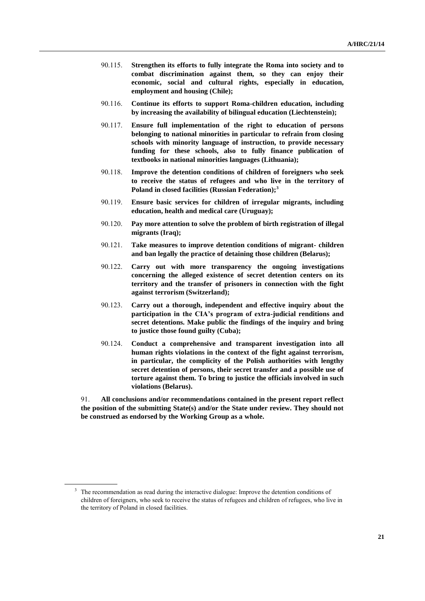- 90.115. **Strengthen its efforts to fully integrate the Roma into society and to combat discrimination against them, so they can enjoy their economic, social and cultural rights, especially in education, employment and housing (Chile);**
- 90.116. **Continue its efforts to support Roma-children education, including by increasing the availability of bilingual education (Liechtenstein);**
- 90.117. **Ensure full implementation of the right to education of persons belonging to national minorities in particular to refrain from closing schools with minority language of instruction, to provide necessary funding for these schools, also to fully finance publication of textbooks in national minorities languages (Lithuania);**
- 90.118. **Improve the detention conditions of children of foreigners who seek to receive the status of refugees and who live in the territory of Poland in closed facilities (Russian Federation);<sup>3</sup>**
- 90.119. **Ensure basic services for children of irregular migrants, including education, health and medical care (Uruguay);**
- 90.120. **Pay more attention to solve the problem of birth registration of illegal migrants (Iraq);**
- 90.121. **Take measures to improve detention conditions of migrant- children and ban legally the practice of detaining those children (Belarus);**
- 90.122. **Carry out with more transparency the ongoing investigations concerning the alleged existence of secret detention centers on its territory and the transfer of prisoners in connection with the fight against terrorism (Switzerland);**
- 90.123. **Carry out a thorough, independent and effective inquiry about the participation in the CIA's program of extra-judicial renditions and secret detentions. Make public the findings of the inquiry and bring to justice those found guilty (Cuba);**
- 90.124. **Conduct a comprehensive and transparent investigation into all human rights violations in the context of the fight against terrorism, in particular, the complicity of the Polish authorities with lengthy secret detention of persons, their secret transfer and a possible use of torture against them. To bring to justice the officials involved in such violations (Belarus).**

91. **All conclusions and/or recommendations contained in the present report reflect the position of the submitting State(s) and/or the State under review. They should not be construed as endorsed by the Working Group as a whole.**

<sup>&</sup>lt;sup>3</sup> The recommendation as read during the interactive dialogue: Improve the detention conditions of children of foreigners, who seek to receive the status of refugees and children of refugees, who live in the territory of Poland in closed facilities.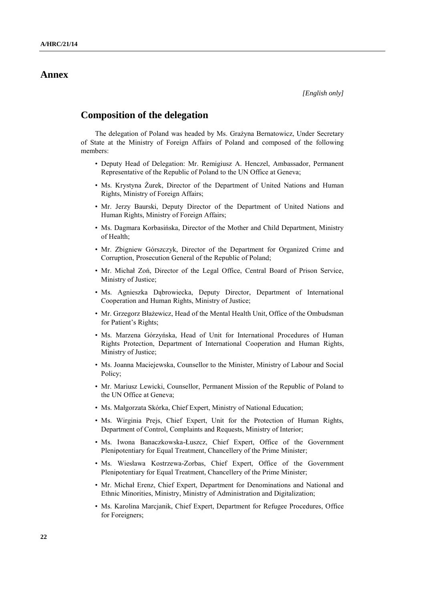## **Annex**

## **Composition of the delegation**

The delegation of Poland was headed by Ms. Grażyna Bernatowicz, Under Secretary of State at the Ministry of Foreign Affairs of Poland and composed of the following members:

- Deputy Head of Delegation: Mr. Remigiusz A. Henczel, Ambassador, Permanent Representative of the Republic of Poland to the UN Office at Geneva;
- Ms. Krystyna Żurek, Director of the Department of United Nations and Human Rights, Ministry of Foreign Affairs;
- Mr. Jerzy Baurski, Deputy Director of the Department of United Nations and Human Rights, Ministry of Foreign Affairs;
- Ms. Dagmara Korbasińska, Director of the Mother and Child Department, Ministry of Health;
- Mr. Zbigniew Górszczyk, Director of the Department for Organized Crime and Corruption, Prosecution General of the Republic of Poland;
- Mr. Michał Zoń, Director of the Legal Office, Central Board of Prison Service, Ministry of Justice;
- Ms. Agnieszka Dąbrowiecka, Deputy Director, Department of International Cooperation and Human Rights, Ministry of Justice;
- Mr. Grzegorz Błażewicz, Head of the Mental Health Unit, Office of the Ombudsman for Patient's Rights;
- Ms. Marzena Górzyńska, Head of Unit for International Procedures of Human Rights Protection, Department of International Cooperation and Human Rights, Ministry of Justice;
- Ms. Joanna Maciejewska, Counsellor to the Minister, Ministry of Labour and Social Policy;
- Mr. Mariusz Lewicki, Counsellor, Permanent Mission of the Republic of Poland to the UN Office at Geneva;
- Ms. Małgorzata Skórka, Chief Expert, Ministry of National Education;
- Ms. Wirginia Prejs, Chief Expert, Unit for the Protection of Human Rights, Department of Control, Complaints and Requests, Ministry of Interior;
- Ms. Iwona Banaczkowska-Łuszcz, Chief Expert, Office of the Government Plenipotentiary for Equal Treatment, Chancellery of the Prime Minister;
- Ms. Wiesława Kostrzewa-Zorbas, Chief Expert, Office of the Government Plenipotentiary for Equal Treatment, Chancellery of the Prime Minister;
- Mr. Michał Erenz, Chief Expert, Department for Denominations and National and Ethnic Minorities, Ministry, Ministry of Administration and Digitalization;
- Ms. Karolina Marcjanik, Chief Expert, Department for Refugee Procedures, Office for Foreigners;